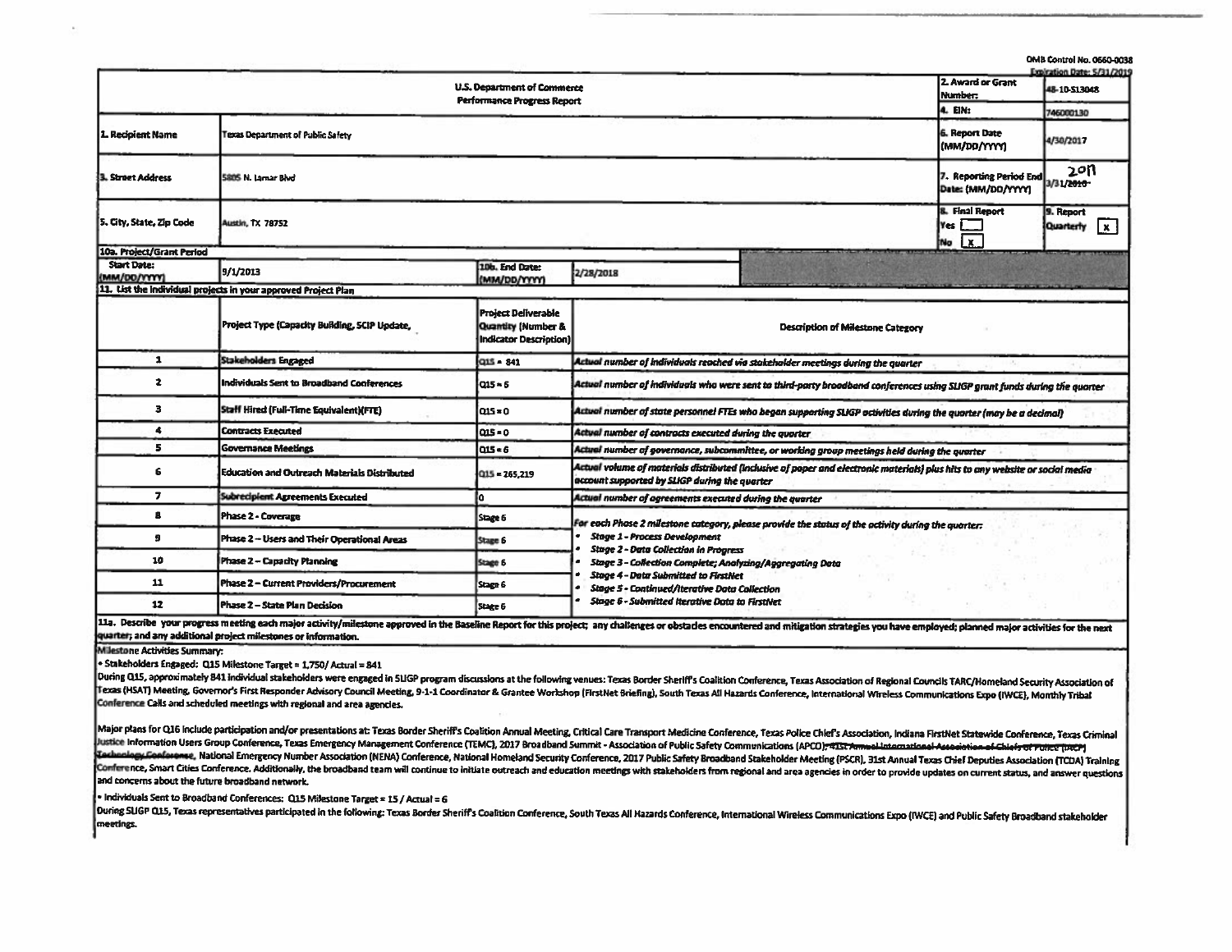|                                    |                                                            |                                                                                       |                                                                                                                                                                                                                                                                                                                                                                                                                                |                                |                                               | OMB Control No. 0660-003<br>Expiration Date: 5/31/2019 |  |  |
|------------------------------------|------------------------------------------------------------|---------------------------------------------------------------------------------------|--------------------------------------------------------------------------------------------------------------------------------------------------------------------------------------------------------------------------------------------------------------------------------------------------------------------------------------------------------------------------------------------------------------------------------|--------------------------------|-----------------------------------------------|--------------------------------------------------------|--|--|
|                                    |                                                            | U.S. Department of Commerce<br>Performance Progress Report                            |                                                                                                                                                                                                                                                                                                                                                                                                                                |                                | 2. Award or Grant<br>Number:                  | 48-10-513048                                           |  |  |
|                                    |                                                            |                                                                                       |                                                                                                                                                                                                                                                                                                                                                                                                                                |                                | L EN:                                         | 746000130                                              |  |  |
| 1. Recipient Name                  | Texas Department of Public Safety                          |                                                                                       |                                                                                                                                                                                                                                                                                                                                                                                                                                | 6. Report Date<br>(MM/DD/YYYY) | 4/30/2017                                     |                                                        |  |  |
| 3. Straet Address                  | 5805 N. Lamar Blvd                                         |                                                                                       |                                                                                                                                                                                                                                                                                                                                                                                                                                |                                | 7. Reporting Period End<br>Date: (MM/DD/YYYY) | 2011<br>3/31/2010                                      |  |  |
| 5. City, State, Zip Code           | Austin, TX 78752                                           |                                                                                       |                                                                                                                                                                                                                                                                                                                                                                                                                                |                                | <b>E. Final Report</b><br>Yes<br>No X         | 9. Report<br>$\mathbf{x}$<br>Quarterly                 |  |  |
| 10a. Project/Grant Period          |                                                            |                                                                                       |                                                                                                                                                                                                                                                                                                                                                                                                                                |                                |                                               |                                                        |  |  |
| <b>Start Date:</b><br>(MM/DD/YYYY) | 9/1/2013                                                   | 10b. End Date:<br>(MM/DD/YYYY)                                                        | 2/28/2018                                                                                                                                                                                                                                                                                                                                                                                                                      |                                |                                               |                                                        |  |  |
|                                    | List the individual projects in your approved Project Plan |                                                                                       |                                                                                                                                                                                                                                                                                                                                                                                                                                |                                |                                               |                                                        |  |  |
|                                    | Project Type (Capacity Building, SCIP Update,              | <b>Project Deliverable</b><br><b>Quantity (Number &amp;</b><br>Indicator Description) | <b>Description of Milestone Category</b>                                                                                                                                                                                                                                                                                                                                                                                       |                                |                                               |                                                        |  |  |
| $\mathbf{1}$                       | Stakeholders Engaged                                       | $Q15 - 841$                                                                           | Actual number of individuals reached via stakeholder meetings during the quarter                                                                                                                                                                                                                                                                                                                                               |                                |                                               |                                                        |  |  |
| 2                                  | Individuals Sent to Broadband Conferences                  | la15 = 6                                                                              | Actual number of individuals who were sent to third-party broadband conferences using SLIGP grant funds during the quarter                                                                                                                                                                                                                                                                                                     |                                |                                               |                                                        |  |  |
| з                                  | Staff Hired (Full-Time Equivalent)(FTE)                    | Q15 = 0                                                                               | Actual number of state personnel FTEs who began supporting SLIGP activities during the quarter (may be a decimal)                                                                                                                                                                                                                                                                                                              |                                |                                               |                                                        |  |  |
| 4                                  | <b>Contracts Executed</b>                                  | $0.5 - 0$                                                                             | Actual number of contracts executed during the quarter                                                                                                                                                                                                                                                                                                                                                                         |                                |                                               |                                                        |  |  |
| 5                                  | Governance Meetings                                        | Q15 = 6                                                                               | Actual number of governance, subcommittee, or working group meetings held during the quarter                                                                                                                                                                                                                                                                                                                                   |                                |                                               |                                                        |  |  |
| 6                                  | Education and Outreach Materials Distributed               | $Q15 = 265,219$                                                                       | Actual volume of materials distributed (Inclusive of paper and electronic materials) plus hits to any website or social media<br>account supported by SLIGP during the quarter                                                                                                                                                                                                                                                 |                                |                                               |                                                        |  |  |
| $\overline{\mathbf{z}}$            | <b>Subrecipient Agreements Executed</b>                    |                                                                                       | Actual number of agreements executed during the quarter                                                                                                                                                                                                                                                                                                                                                                        |                                |                                               |                                                        |  |  |
| 8                                  | Phase 2 - Coverage                                         | Stage 6                                                                               | For each Phase 2 milestone category, please provide the status of the activity during the quarter:<br><b>Stage 1 - Process Development</b><br><b>Stage 2 - Data Collection in Progress</b><br><b>Stage 3 - Collection Complete; Analyzing/Aggregating Data</b><br><b>Stage 4 - Data Submitted to FirstNet</b><br><b>Stage 5 - Continued/Iterative Data Collection</b><br><b>Stage 6 - Submitted Iterative Data to FirstNet</b> |                                |                                               |                                                        |  |  |
| 9                                  | Phase 2 - Users and Their Operational Areas                | Stage 6                                                                               |                                                                                                                                                                                                                                                                                                                                                                                                                                |                                |                                               |                                                        |  |  |
| 10                                 | Phase 2 - Capacity Planning                                | Stage 6                                                                               |                                                                                                                                                                                                                                                                                                                                                                                                                                |                                |                                               |                                                        |  |  |
| 11                                 | Phase 2 - Current Providers/Procurement                    | Stage 6                                                                               |                                                                                                                                                                                                                                                                                                                                                                                                                                |                                |                                               |                                                        |  |  |
| 12                                 | Phase 2 - State Plan Decision                              | Stage 6                                                                               |                                                                                                                                                                                                                                                                                                                                                                                                                                |                                |                                               |                                                        |  |  |

11a. Describe your progress meeting each major activity/milestone approved in the Baseline Report for this project; any challenges or obstacles encountered and mitigation strategies you have employed; planned major activit quarter; and any additional project milestones or information.

M Jestone Activities Summary:

 $\bullet$  Stakeholders Engaged: Q15 Milestone Target = 1,750/ Actual = 841

During Q15, approximately 841 individual stakeholders were engaged in SLIGP program discussions at the following venues: Texas Border Sheriff's Coalition Conference, Texas Association of Regional Councils TARC/Homeland Sec Texas (HSAT) Meeting, Governor's First Responder Advisory Council Meeting, 9-1-1 Coordinator & Grantee Workshop (FirstNet Briefing), South Texas All Hazards Conference, International Wireless Communications Expo (IWCE), Mo Conference Calls and scheduled meetings with regional and area agencies.

Major plans for Q16 include participation and/or presentations at: Texas Border Sheriff's Coalition Annual Meeting, Critical Care Transport Medicine Conference, Texas Police Chief's Association, Indiana FirstNet Statewide Justice Information Users Group Conference, Texas Emergency Management Conference (TEMC), 2017 Broadband Summit - Association of Public Safety Communications (APCO); 435t Annual International Association of Chiefs of Publi Tachnology Conference, National Emergency Number Association (NENA) Conference, National Homeland Security Conference, 2017 Public Safety Broadband Stakeholder Meeting (PSCR), 31st Annual Texas Chief Deputies Association ( Conference, Smart Cities Conference. Additionally, the broadband team will continue to initiate outreach and education meetings with stakeholders from regional and area agencies in order to provide updates on current statu and concerns about the future broadband network.

 $\bullet$  Individuals Sent to Broadband Conferences: Q15 Milestone Target = 15 / Actual = 6

During SUGP Q15, Texas representatives participated in the following: Texas Border Sheriff's Coalition Conference, South Texas All Hazards Conference, International Wireless Communications Expo (IWCE) and Public Safety Bro meetings.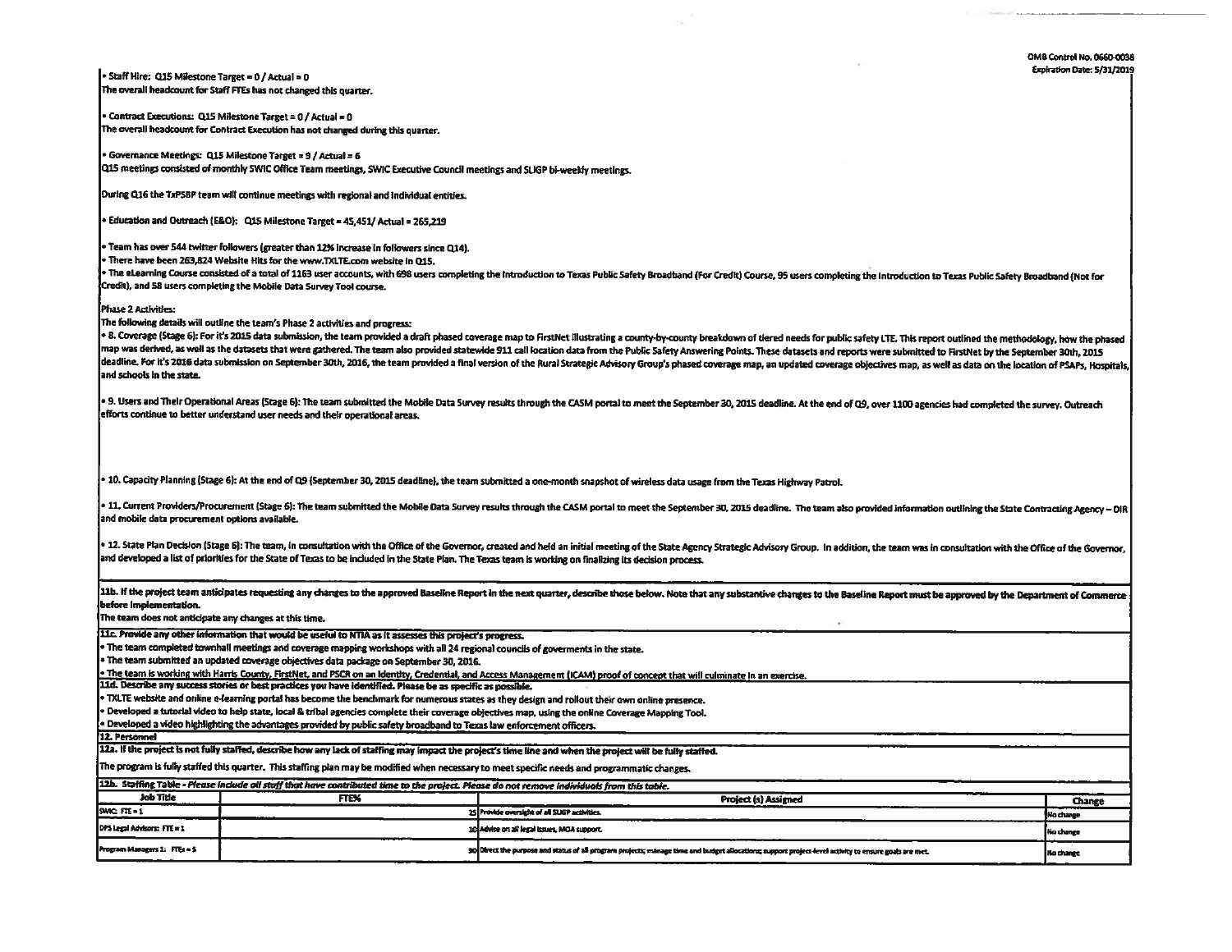CIMB Control No. 0660-0038 Expiration Date: 5/31/2019

· Staff Hire: Q15 Milestone Target = 0 / Actual = 0 The overall headcount for Staff FTEs has not changed this quarter.

Contract Executions: Q15 Milestone Target = 0 / Actual = 0 The overall headcount for Contract Execution has not changed during this quarter.

Governance Meetings: Q15 Milestone Target = 9 / Actual = 6 Q15 meetings consisted of monthly SWIC Office Team meetings, SWIC Executive Council meetings and SLIGP bi-weekly meetings.

During Q16 the TxP5BP team will continue meetings with regional and individual entities.

Education and Outreach (E&O): Q15 Milestone Target = 45,451/ Actual = 265,219

· Team has over 544 twitter followers (greater than 12% increase in followers since Q14).

There have been 263,824 Website Hits for the www.TXLTE.com website in Q15.

• The eLearning Course consisted of a total of 1163 user accounts, with 698 users completing the Introduction to Texas Public Safety Broadband (For Credit) Course, 95 users completing the Introduction to Texas Public Safet Credit), and 58 users completing the Mobile Data Survey Tool course.

Phase 2 Activities:

The following details will outline the team's Phase 2 activities and progress:

. 8. Coverage (Stage 6): For it's 2015 data submission, the team provided a draft phased coverage map to FirstNet Illustrating a county-by-county breakdown of tiered needs for public safety LTE. This report outlined the me map was derived, as well as the datasets that were gathered. The team also provided statewide 911 call location data from the Public Safety Answering Points. These datasets and reports were submitted to FirstNet by the Sep deadline. For h's 2016 data submission on September 30th, 2016, the team provided a final version of the Rural Strategic Advisory Group's phased coverage map, an updated coverage objectives map, as well as data on the loca and schools in the state.

. 9. Users and Their Operational Areas (Stage 6): The team submitted the Mobile Data Survey results through the CASM portal to meet the September 30, 2015 deadline. At the end of Q9, over 1100 agencies had completed the su efforts continue to better understand user needs and their operational areas.

. 10. Capacity Planning (Stage 6): At the end of Q9 (September 30, 2015 deadline), the team submitted a one-month snapshot of wireless data usage from the Texas Highway Patrol.

. 11. Current Providers/Procurement (Stage 6): The team submitted the Mobile Data Survey results through the CASM portal to meet the September 30, 2015 deadline. The team also provided information outlining the State Contr and mobile data procurement options available.

. 12. State Plan Decision (Stage 6): The team, in consultation with the Office of the Governor, created and held an initial meeting of the State Agency Strategic Advisory Group. In addition, the team was in consultation wi and developed a list of priorities for the State of Texas to be included in the State Plan. The Texas team is working on finalizing its decision process.

11b. If the project team anticipates requesting any changes to the approved Baseline Report in the next quarter, describe those below. Note that any substantive changes to the Baseline Report must be approved by the Depart before implementation.

The team does not anticipate any changes at this time.

11c. Provide any other information that would be useful to NTIA as it assesses this project's progress.

. The team completed townhall meetings and coverage mapping workshops with all 24 regional councils of goverments in the state.

The team submitted an updated coverage objectives data package on September 30, 2016.

The team is working with Harris County, FirstNet, and PSCR on an Identity, Credential, and Access Management (ICAM) proof of concept that will culminate In an exercise.

11d. Describe any success stories or best practices you have identified. Please be as specific as possible.

TXLTE website and online e-learning portal has become the benchmark for numerous states as they design and rollout their own online presence.

.<br>Developed a tutorial video to help state, local & tribal agencies complete their coverage objectives map, using the online Coverage Mapping Tool.

Developed a video highlighting the advantages provided by public safety broadband to Texas law enforcement officers.

12. Personnel

12a. If the project is not fully staffed, describe how any lack of staffing may impact the project's time line and when the project will be fully staffed. The program is fully staffed this quarter. This staffing plan may be modified when necessary to meet specific needs and programmatic changes.

| [12b. Staffing Table - Please include oil staff that have contributed time to the project. Please do not remove individuals from this table. |             |                                                                                                                                                       |           |  |  |  |  |
|----------------------------------------------------------------------------------------------------------------------------------------------|-------------|-------------------------------------------------------------------------------------------------------------------------------------------------------|-----------|--|--|--|--|
| Job Title                                                                                                                                    | <b>FTEX</b> | <b>Project (s) Assigned</b>                                                                                                                           | Change    |  |  |  |  |
| SWIC FTE-<br>____                                                                                                                            |             | 25 Provide oversight of all SUGP activities.                                                                                                          | No change |  |  |  |  |
| DPS Legal Advisors: FTE = 1                                                                                                                  |             | 10 Advise on all legal lesues, MOA support.                                                                                                           | No change |  |  |  |  |
| <b>Program Margeers 1: FTEs = 5</b>                                                                                                          |             | go Direct the purpose and status of all program projects; manage time and budget allocations; support project-level activity to ensure goals are met. | Mo change |  |  |  |  |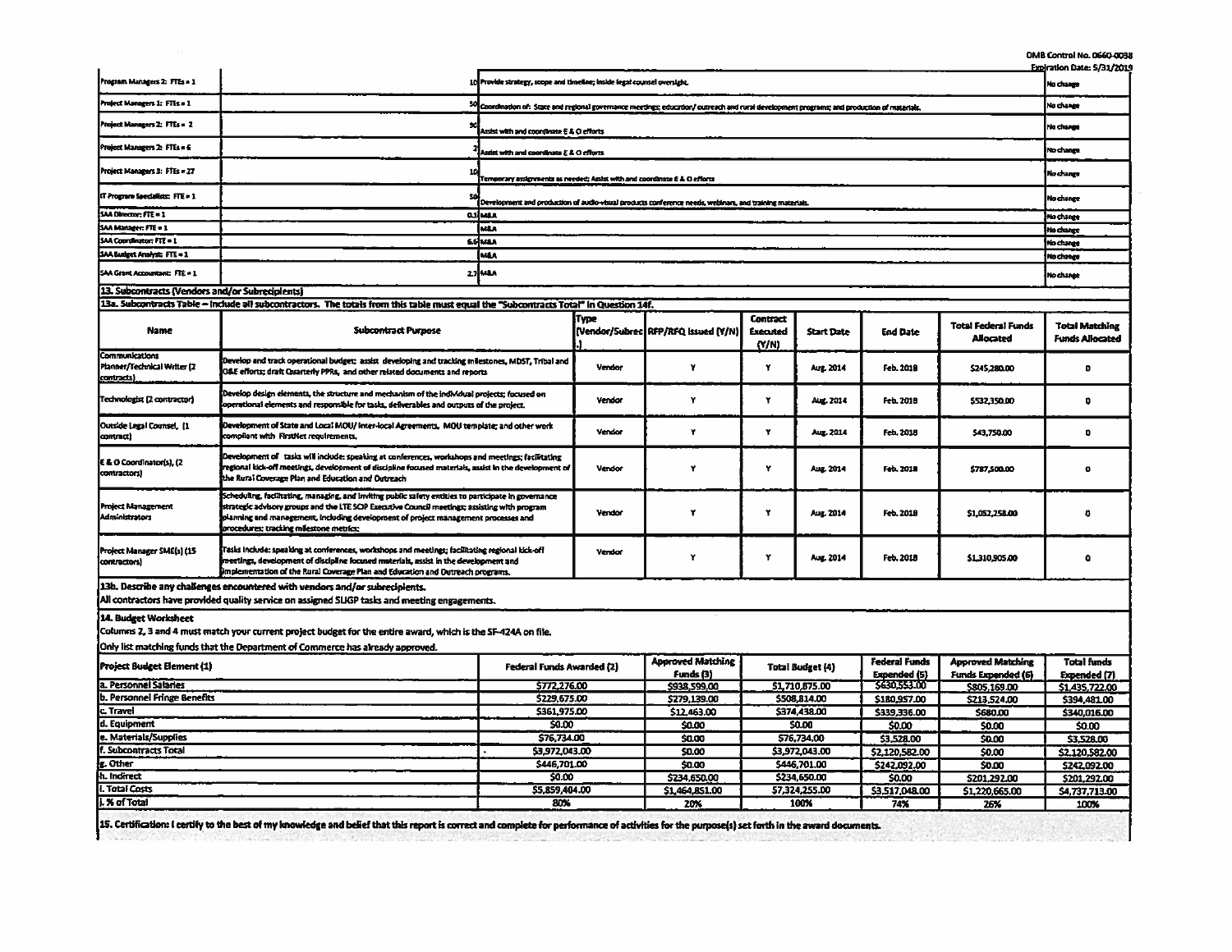|                                                                    |                                                                                                                                                                                                                                                                                                                                       |                                                                                                                                              |        |                                              |                                      |                                                |                                      |                                                | OMB Control No. 0660-0038                       |
|--------------------------------------------------------------------|---------------------------------------------------------------------------------------------------------------------------------------------------------------------------------------------------------------------------------------------------------------------------------------------------------------------------------------|----------------------------------------------------------------------------------------------------------------------------------------------|--------|----------------------------------------------|--------------------------------------|------------------------------------------------|--------------------------------------|------------------------------------------------|-------------------------------------------------|
| Program Managers 2: FTEs = 1                                       | 10 Provide strategy, scope and timeline; inside legal counsel oversight.                                                                                                                                                                                                                                                              |                                                                                                                                              |        |                                              |                                      | <b>Expiration Date: 5/31/2019</b><br>No change |                                      |                                                |                                                 |
| Project Managers 1: FTEs = 1                                       |                                                                                                                                                                                                                                                                                                                                       | 50 Coordination of: State and regional governance meetings; education/ outreach and rural development programs; and production of materials. |        |                                              |                                      |                                                |                                      | No change                                      |                                                 |
| Project Managers 2: FTEs = 2                                       | Assist with and coordinate E & O efforts                                                                                                                                                                                                                                                                                              |                                                                                                                                              |        |                                              |                                      |                                                | No change                            |                                                |                                                 |
| Project Managers 2: FTEs = 6                                       | usist with and coordinate E & O efforts                                                                                                                                                                                                                                                                                               |                                                                                                                                              |        |                                              |                                      |                                                | No change                            |                                                |                                                 |
| Project Managers 3: FTEs = 27                                      |                                                                                                                                                                                                                                                                                                                                       |                                                                                                                                              |        |                                              |                                      |                                                |                                      | No change                                      |                                                 |
| IT Program Seeclalists: FTE = 1                                    | Temporary assignments as needed; Assist with and coordinate E & O efforts<br>Development and production of audio-visual products conference needs, weblinars, and training materials.                                                                                                                                                 |                                                                                                                                              |        |                                              |                                      |                                                | <b>No change</b>                     |                                                |                                                 |
| SAA Director: FTE = 1                                              |                                                                                                                                                                                                                                                                                                                                       | ashman                                                                                                                                       |        |                                              |                                      |                                                |                                      |                                                | No change                                       |
| SAA Manager: FTE = 1                                               |                                                                                                                                                                                                                                                                                                                                       | <b>MEA</b>                                                                                                                                   |        |                                              |                                      |                                                |                                      |                                                | No change                                       |
| SAA Countinator: FTE = 1                                           |                                                                                                                                                                                                                                                                                                                                       | <b><i>SSIMBA</i></b>                                                                                                                         |        |                                              |                                      |                                                |                                      |                                                | No change                                       |
| SAA Budget Analyst: FTE = 1                                        |                                                                                                                                                                                                                                                                                                                                       | <b>MAA</b>                                                                                                                                   |        |                                              |                                      |                                                |                                      |                                                | No change                                       |
| SAA Grant Accountant: FTE = 1                                      |                                                                                                                                                                                                                                                                                                                                       | <b>27 MBA</b>                                                                                                                                |        |                                              |                                      |                                                | No change                            |                                                |                                                 |
| 13. Subcontracts (Vendors and/or Subreciplents)                    |                                                                                                                                                                                                                                                                                                                                       |                                                                                                                                              |        |                                              |                                      |                                                |                                      |                                                |                                                 |
|                                                                    | 13a. Subcontracts Table - Include all subcontractors. The totals from this table must equal the "Subcontracts Total" in Question 14f.                                                                                                                                                                                                 |                                                                                                                                              |        |                                              |                                      |                                                |                                      |                                                |                                                 |
| <b>Name</b>                                                        | <b>Subcontract Purpose</b>                                                                                                                                                                                                                                                                                                            |                                                                                                                                              | Түре   | [Vendor/Subrec] RFP/RFQ issued (Y/N)         | Contract<br><b>Executed</b><br>(N/N) | <b>Start Date</b>                              | <b>End Date</b>                      | <b>Total Federal Funds</b><br><b>Allocated</b> | <b>Total Matching</b><br><b>Funds Allocated</b> |
| <b>Communications</b><br>Planner/Technical Writer (2<br>contracts) | Develop and track operational budget; assist developing and tracking milestones, MDST, Tribal and<br>O&E efforts; draft Quarterly PPRs, and other related documents and reports                                                                                                                                                       |                                                                                                                                              | Vendor | Y                                            | Y                                    | Aug. 2014                                      | Feb. 2018                            | \$245,280.00                                   | $\bullet$                                       |
| Technologist (2 contractor)                                        | Develop design elements, the structure and mechanism of the individual projects; focused on<br>operational elements and responsible for tasks, deliverables and outputs of the project.                                                                                                                                               |                                                                                                                                              | Vendor | Y                                            | Y                                    | Aug. 2014                                      | Feb. 2018                            | \$532.350.00                                   | $\bullet$                                       |
| Outside Legal Counsel, [1<br>contract)                             | Development of State and Local MOU/ Inter-local Agreements, MOU template; and other work<br>compliant with FirstNet requirements.                                                                                                                                                                                                     |                                                                                                                                              | Vendor | Y                                            | ٧                                    | Aug. 2014                                      | Feb. 2018                            | \$43,750.00                                    | $\mathbf{a}$                                    |
| E & O Coordinator(s), (2<br>contractors)                           | Development of tasks will include: speaking at conferences, workshops and meetings; facilitating<br>regional kick-off meetings, development of discipline focused materials, assist in the development of<br>the Rural Coverage Plan and Education and Outreach                                                                       |                                                                                                                                              | Vendor | Y                                            | ٧                                    | Aug. 2014                                      | Feb. 2018                            | \$787,500.00                                   | $\bullet$                                       |
| <b>Project Management</b><br><b>Administrators</b>                 | Scheduling, facilitating, managing, and inviting public safety entities to participate in governance<br>strategic advisory groups and the LTE SOP Executive Council meetings; assisting with program<br>planning and management, including development of project management processes and<br>procedures; tracking milestone metrics; |                                                                                                                                              | Vendor | Y                                            | ٧                                    | Aug. 2014                                      | Feb. 2018                            | \$1,052,258.00                                 | ۰                                               |
| Project Manager SME(s) (15<br>contractors!                         | Tasks include: speaking at conferences, workshops and meetings; facilitating regional kick-off<br>meetings, development of discipline focused materials, assist in the development and<br>implementation of the Rural Coverage Plan and Education and Outreach programs.                                                              |                                                                                                                                              | Vendor | ۲                                            | ۲                                    | Aug. 2014                                      | Feb. 2018                            | \$1,310,905.00                                 | ۰                                               |
|                                                                    | 13h. Describe any challenges encountered with vendors and/or subrecipients.<br>All contractors have provided quality service on assigned SLIGP tasks and meeting engagements.                                                                                                                                                         |                                                                                                                                              |        |                                              |                                      |                                                |                                      |                                                |                                                 |
| 14. Budget Worksheet                                               | Columns 2, 3 and 4 must match your current project budget for the entire award, which is the SF-424A on file.<br>Only list matching funds that the Department of Commerce has already approved.                                                                                                                                       |                                                                                                                                              |        |                                              |                                      |                                                |                                      |                                                |                                                 |
| <b>Project Budget Element (1)</b>                                  |                                                                                                                                                                                                                                                                                                                                       | Federal Funds Awarded (2)                                                                                                                    |        | <b>Approved Matching</b><br><b>Funds</b> (3) |                                      | <b>Total Budget (4)</b>                        | Federal Funds<br><b>Lupended</b> (5) | <b>Approved Matching</b><br>Funds Expended (6) | <b>Total funds</b><br>Expended (7)              |
| L Personnel Salaries                                               |                                                                                                                                                                                                                                                                                                                                       | 5772.276.00                                                                                                                                  |        | \$938,599.00                                 |                                      | \$1,710,875.00                                 | 5630,553.00                          | \$805,169.00                                   | \$1,435,722.00                                  |
| . Personnel Fringe Benefits                                        |                                                                                                                                                                                                                                                                                                                                       | \$229,675.00                                                                                                                                 |        | \$279,139.00                                 |                                      | \$508,814.00                                   | \$180,957.00                         | \$213,524.00                                   | \$394,481.00                                    |
| $.$ Travel                                                         |                                                                                                                                                                                                                                                                                                                                       | \$361,975.00                                                                                                                                 |        | \$12,463.00                                  |                                      | \$374,438.00                                   | \$339,336.00                         | \$680.00                                       | \$340,016.00                                    |
| l. Equipment                                                       |                                                                                                                                                                                                                                                                                                                                       | \$0.00                                                                                                                                       |        | \$0.00                                       |                                      | <b>SO.00</b>                                   | <b>S0.00</b>                         | \$0.00                                         | \$0.00                                          |
| . Materials/Supplies                                               |                                                                                                                                                                                                                                                                                                                                       | \$76,734.00                                                                                                                                  |        | \$0.00                                       |                                      | \$76,734.00                                    | \$3,528.00                           | \$0.00                                         | \$3,528.00                                      |
| . Subcontracts Total                                               |                                                                                                                                                                                                                                                                                                                                       | \$3,972,043.00                                                                                                                               |        | \$0.00                                       | \$3,972,043.00                       |                                                | \$2,120,582.00                       | \$0.00                                         | \$2,120,582.00                                  |
| . Other                                                            |                                                                                                                                                                                                                                                                                                                                       | \$446,701.00                                                                                                                                 |        | \$0.00                                       |                                      | \$446,701.00                                   | \$242,092.00                         | \$0.00                                         | \$242,092.00                                    |
| L Indirect                                                         |                                                                                                                                                                                                                                                                                                                                       | \$0.00                                                                                                                                       |        | \$234,650.00                                 |                                      | \$234,650.00                                   | 50.00                                | \$201.292.00                                   | \$201.292.00                                    |
| Total Costs                                                        |                                                                                                                                                                                                                                                                                                                                       | \$5,859,404.00                                                                                                                               |        | \$1,464,851.00                               |                                      | 57,324,255.00                                  | \$3,517,048.00                       | \$1,220,665.00                                 | 54,737,713.00                                   |
|                                                                    | <b>X</b> of Total                                                                                                                                                                                                                                                                                                                     |                                                                                                                                              |        |                                              |                                      | 100%                                           | 74%                                  |                                                |                                                 |